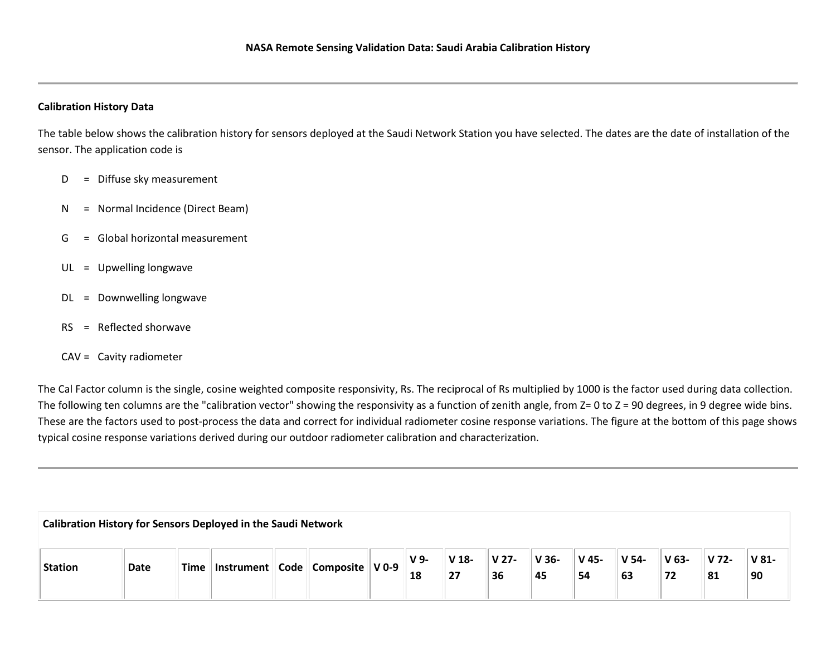## **Calibration History Data**

The table below shows the calibration history for sensors deployed at the Saudi Network Station you have selected. The dates are the date of installation of the sensor. The application code is

- D = Diffuse sky measurement
- N = Normal Incidence (Direct Beam)
- G = Global horizontal measurement
- UL = Upwelling longwave
- DL = Downwelling longwave
- RS = Reflected shorwave
- CAV = Cavity radiometer

The Cal Factor column is the single, cosine weighted composite responsivity, Rs. The reciprocal of Rs multiplied by 1000 is the factor used during data collection. The following ten columns are the "calibration vector" showing the responsivity as a function of zenith angle, from  $Z = 0$  to  $Z = 90$  degrees, in 9 degree wide bins. These are the factors used to post-process the data and correct for individual radiometer cosine response variations. The figure at the bottom of this page shows typical cosine response variations derived during our outdoor radiometer calibration and characterization.

**Calibration History for Sensors Deployed in the Saudi Network**

| <b>Station</b> | <b>Date</b> | Time | ⊤Instrument ⊦ | Code | $^{\prime\prime}$ Composite $\parallel$ V 0-9 $_{\odot}$ | V <sub>9</sub> | $V$ 18-       | V <sub>27</sub> | <sup>⊥</sup> V 36- | <b>V</b> 45- | ' V 54- | V 63- | V 72- | $\sqrt{81}$ |
|----------------|-------------|------|---------------|------|----------------------------------------------------------|----------------|---------------|-----------------|--------------------|--------------|---------|-------|-------|-------------|
|                |             |      |               |      |                                                          | 18             | $\sim$<br>. . | 36              | 45                 | 54           | 63      | . .   | 81    | 90          |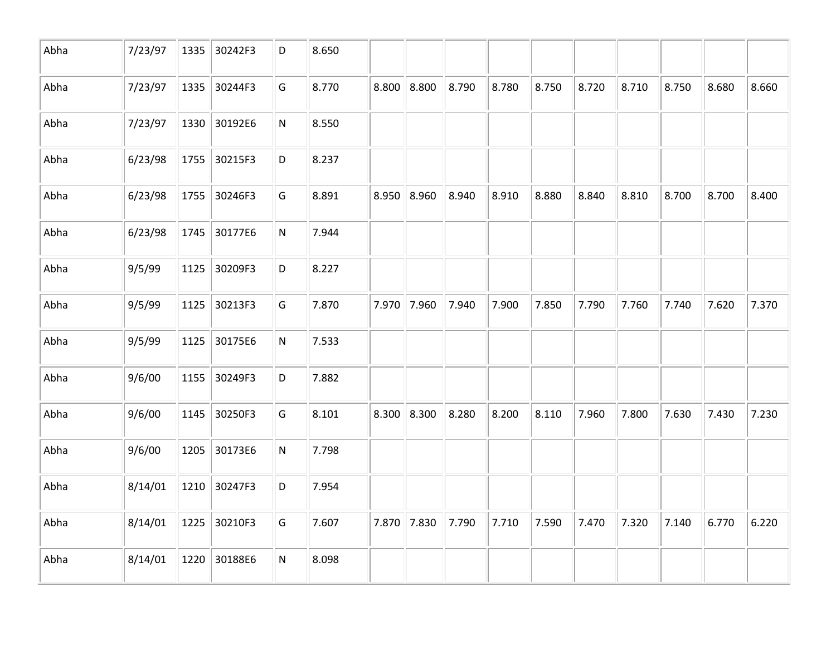| Abha | 7/23/97 | 1335 | 30242F3 | D         | 8.650 |       |               |       |       |       |       |       |       |       |       |
|------|---------|------|---------|-----------|-------|-------|---------------|-------|-------|-------|-------|-------|-------|-------|-------|
| Abha | 7/23/97 | 1335 | 30244F3 | G         | 8.770 |       | 8.800   8.800 | 8.790 | 8.780 | 8.750 | 8.720 | 8.710 | 8.750 | 8.680 | 8.660 |
| Abha | 7/23/97 | 1330 | 30192E6 | ${\sf N}$ | 8.550 |       |               |       |       |       |       |       |       |       |       |
| Abha | 6/23/98 | 1755 | 30215F3 | D         | 8.237 |       |               |       |       |       |       |       |       |       |       |
| Abha | 6/23/98 | 1755 | 30246F3 | G         | 8.891 | 8.950 | 8.960         | 8.940 | 8.910 | 8.880 | 8.840 | 8.810 | 8.700 | 8.700 | 8.400 |
| Abha | 6/23/98 | 1745 | 30177E6 | ${\sf N}$ | 7.944 |       |               |       |       |       |       |       |       |       |       |
| Abha | 9/5/99  | 1125 | 30209F3 | D         | 8.227 |       |               |       |       |       |       |       |       |       |       |
| Abha | 9/5/99  | 1125 | 30213F3 | G         | 7.870 |       | 7.970 7.960   | 7.940 | 7.900 | 7.850 | 7.790 | 7.760 | 7.740 | 7.620 | 7.370 |
| Abha | 9/5/99  | 1125 | 30175E6 | ${\sf N}$ | 7.533 |       |               |       |       |       |       |       |       |       |       |
| Abha | 9/6/00  | 1155 | 30249F3 | D         | 7.882 |       |               |       |       |       |       |       |       |       |       |
| Abha | 9/6/00  | 1145 | 30250F3 | G         | 8.101 | 8.300 | 8.300         | 8.280 | 8.200 | 8.110 | 7.960 | 7.800 | 7.630 | 7.430 | 7.230 |
| Abha | 9/6/00  | 1205 | 30173E6 | ${\sf N}$ | 7.798 |       |               |       |       |       |       |       |       |       |       |
| Abha | 8/14/01 | 1210 | 30247F3 | D         | 7.954 |       |               |       |       |       |       |       |       |       |       |
| Abha | 8/14/01 | 1225 | 30210F3 | G         | 7.607 |       | 7.870 7.830   | 7.790 | 7.710 | 7.590 | 7.470 | 7.320 | 7.140 | 6.770 | 6.220 |
| Abha | 8/14/01 | 1220 | 30188E6 | ${\sf N}$ | 8.098 |       |               |       |       |       |       |       |       |       |       |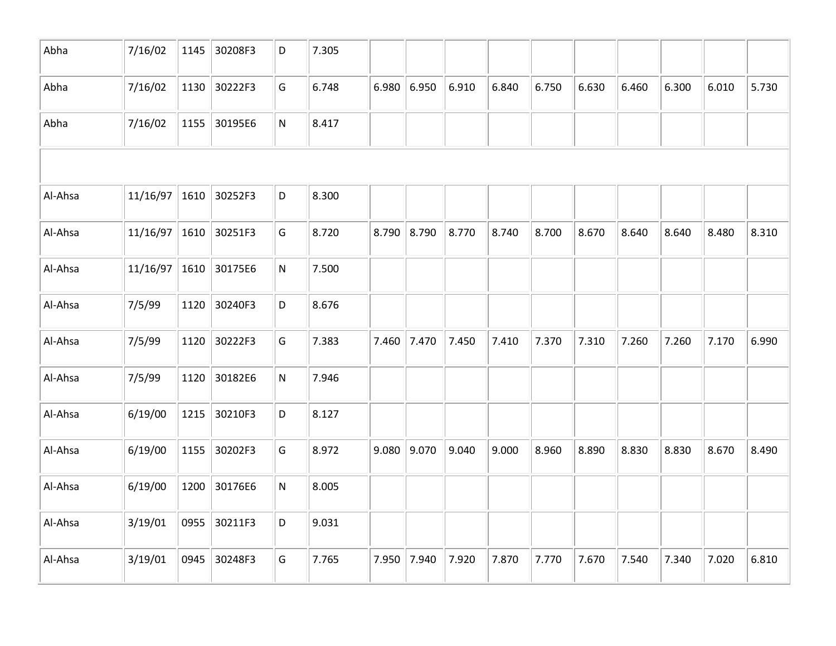| Abha    | 7/16/02         | 1145 | 30208F3 | D         | 7.305 |       |       |       |       |       |       |       |       |       |       |
|---------|-----------------|------|---------|-----------|-------|-------|-------|-------|-------|-------|-------|-------|-------|-------|-------|
| Abha    | 7/16/02         | 1130 | 30222F3 | G         | 6.748 | 6.980 | 6.950 | 6.910 | 6.840 | 6.750 | 6.630 | 6.460 | 6.300 | 6.010 | 5.730 |
| Abha    | 7/16/02         | 1155 | 30195E6 | ${\sf N}$ | 8.417 |       |       |       |       |       |       |       |       |       |       |
|         |                 |      |         |           |       |       |       |       |       |       |       |       |       |       |       |
| Al-Ahsa | $11/16/97$ 1610 |      | 30252F3 | D         | 8.300 |       |       |       |       |       |       |       |       |       |       |
| Al-Ahsa | $11/16/97$ 1610 |      | 30251F3 | G         | 8.720 | 8.790 | 8.790 | 8.770 | 8.740 | 8.700 | 8.670 | 8.640 | 8.640 | 8.480 | 8.310 |
| Al-Ahsa | 11/16/97        | 1610 | 30175E6 | ${\sf N}$ | 7.500 |       |       |       |       |       |       |       |       |       |       |
| Al-Ahsa | 7/5/99          | 1120 | 30240F3 | D         | 8.676 |       |       |       |       |       |       |       |       |       |       |
| Al-Ahsa | 7/5/99          | 1120 | 30222F3 | G         | 7.383 | 7.460 | 7.470 | 7.450 | 7.410 | 7.370 | 7.310 | 7.260 | 7.260 | 7.170 | 6.990 |
| Al-Ahsa | 7/5/99          | 1120 | 30182E6 | ${\sf N}$ | 7.946 |       |       |       |       |       |       |       |       |       |       |
| Al-Ahsa | 6/19/00         | 1215 | 30210F3 | D         | 8.127 |       |       |       |       |       |       |       |       |       |       |
| Al-Ahsa | 6/19/00         | 1155 | 30202F3 | G         | 8.972 | 9.080 | 9.070 | 9.040 | 9.000 | 8.960 | 8.890 | 8.830 | 8.830 | 8.670 | 8.490 |
| Al-Ahsa | 6/19/00         | 1200 | 30176E6 | ${\sf N}$ | 8.005 |       |       |       |       |       |       |       |       |       |       |
| Al-Ahsa | 3/19/01         | 0955 | 30211F3 | D         | 9.031 |       |       |       |       |       |       |       |       |       |       |
| Al-Ahsa | 3/19/01         | 0945 | 30248F3 | G         | 7.765 | 7.950 | 7.940 | 7.920 | 7.870 | 7.770 | 7.670 | 7.540 | 7.340 | 7.020 | 6.810 |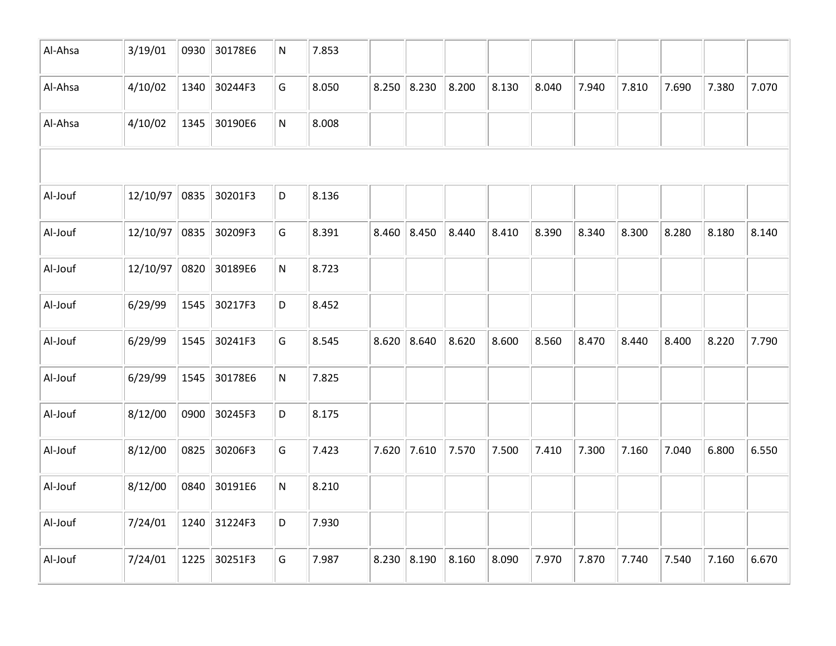| Al-Ahsa | 3/19/01         | 0930 | 30178E6 | N         | 7.853 |               |       |       |       |       |       |       |       |       |       |
|---------|-----------------|------|---------|-----------|-------|---------------|-------|-------|-------|-------|-------|-------|-------|-------|-------|
| Al-Ahsa | 4/10/02         | 1340 | 30244F3 | G         | 8.050 | $8.250$ 8.230 |       | 8.200 | 8.130 | 8.040 | 7.940 | 7.810 | 7.690 | 7.380 | 7.070 |
| Al-Ahsa | 4/10/02         | 1345 | 30190E6 | ${\sf N}$ | 8.008 |               |       |       |       |       |       |       |       |       |       |
|         |                 |      |         |           |       |               |       |       |       |       |       |       |       |       |       |
| Al-Jouf | $12/10/97$ 0835 |      | 30201F3 | D         | 8.136 |               |       |       |       |       |       |       |       |       |       |
| Al-Jouf | 12/10/97 0835   |      | 30209F3 | G         | 8.391 | 8.460         | 8.450 | 8.440 | 8.410 | 8.390 | 8.340 | 8.300 | 8.280 | 8.180 | 8.140 |
| Al-Jouf | 12/10/97        | 0820 | 30189E6 | ${\sf N}$ | 8.723 |               |       |       |       |       |       |       |       |       |       |
| Al-Jouf | 6/29/99         | 1545 | 30217F3 | D         | 8.452 |               |       |       |       |       |       |       |       |       |       |
| Al-Jouf | 6/29/99         | 1545 | 30241F3 | G         | 8.545 | 8.620         | 8.640 | 8.620 | 8.600 | 8.560 | 8.470 | 8.440 | 8.400 | 8.220 | 7.790 |
| Al-Jouf | 6/29/99         | 1545 | 30178E6 | ${\sf N}$ | 7.825 |               |       |       |       |       |       |       |       |       |       |
| Al-Jouf | 8/12/00         | 0900 | 30245F3 | D         | 8.175 |               |       |       |       |       |       |       |       |       |       |
| Al-Jouf | 8/12/00         | 0825 | 30206F3 | G         | 7.423 | 7.620         | 7.610 | 7.570 | 7.500 | 7.410 | 7.300 | 7.160 | 7.040 | 6.800 | 6.550 |
| Al-Jouf | 8/12/00         | 0840 | 30191E6 | ${\sf N}$ | 8.210 |               |       |       |       |       |       |       |       |       |       |
| Al-Jouf | 7/24/01         | 1240 | 31224F3 | D         | 7.930 |               |       |       |       |       |       |       |       |       |       |
| Al-Jouf | 7/24/01         | 1225 | 30251F3 | G         | 7.987 | 8.230         | 8.190 | 8.160 | 8.090 | 7.970 | 7.870 | 7.740 | 7.540 | 7.160 | 6.670 |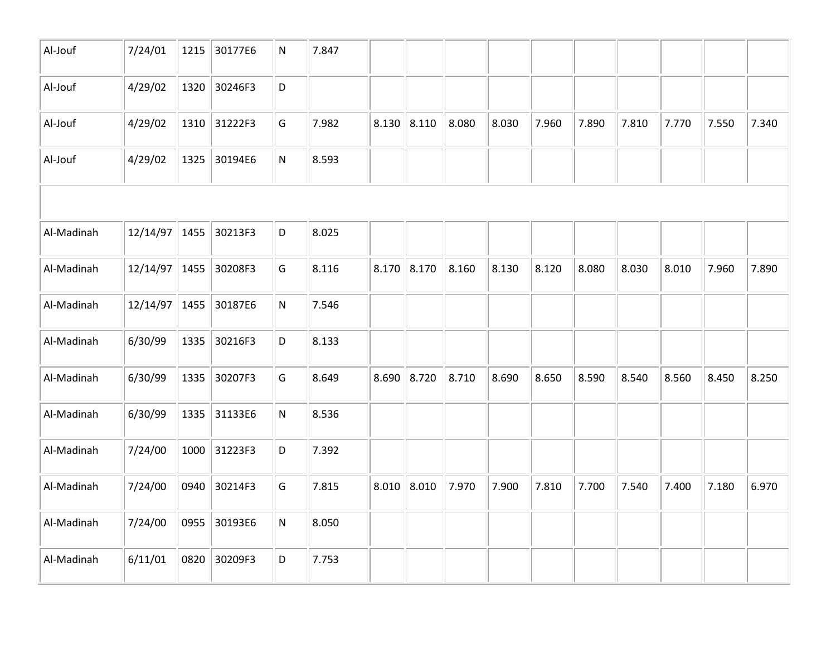| Al-Jouf    | 7/24/01       | 1215 | 30177E6 | $\mathsf{N}$ | 7.847 |               |       |       |       |       |       |       |       |       |       |
|------------|---------------|------|---------|--------------|-------|---------------|-------|-------|-------|-------|-------|-------|-------|-------|-------|
| Al-Jouf    | 4/29/02       | 1320 | 30246F3 | $\mathsf D$  |       |               |       |       |       |       |       |       |       |       |       |
| Al-Jouf    | 4/29/02       | 1310 | 31222F3 | G            | 7.982 | $8.130$ 8.110 |       | 8.080 | 8.030 | 7.960 | 7.890 | 7.810 | 7.770 | 7.550 | 7.340 |
| Al-Jouf    | 4/29/02       | 1325 | 30194E6 | ${\sf N}$    | 8.593 |               |       |       |       |       |       |       |       |       |       |
|            |               |      |         |              |       |               |       |       |       |       |       |       |       |       |       |
| Al-Madinah | 12/14/97 1455 |      | 30213F3 | D            | 8.025 |               |       |       |       |       |       |       |       |       |       |
| Al-Madinah | 12/14/97 1455 |      | 30208F3 | G            | 8.116 | 8.170         | 8.170 | 8.160 | 8.130 | 8.120 | 8.080 | 8.030 | 8.010 | 7.960 | 7.890 |
| Al-Madinah | 12/14/97 1455 |      | 30187E6 | ${\sf N}$    | 7.546 |               |       |       |       |       |       |       |       |       |       |
| Al-Madinah | 6/30/99       | 1335 | 30216F3 | D            | 8.133 |               |       |       |       |       |       |       |       |       |       |
| Al-Madinah | 6/30/99       | 1335 | 30207F3 | G            | 8.649 | 8.690         | 8.720 | 8.710 | 8.690 | 8.650 | 8.590 | 8.540 | 8.560 | 8.450 | 8.250 |
| Al-Madinah | 6/30/99       | 1335 | 31133E6 | ${\sf N}$    | 8.536 |               |       |       |       |       |       |       |       |       |       |
| Al-Madinah | 7/24/00       | 1000 | 31223F3 | D            | 7.392 |               |       |       |       |       |       |       |       |       |       |
| Al-Madinah | 7/24/00       | 0940 | 30214F3 | G            | 7.815 | $8.010$ 8.010 |       | 7.970 | 7.900 | 7.810 | 7.700 | 7.540 | 7.400 | 7.180 | 6.970 |
| Al-Madinah | 7/24/00       | 0955 | 30193E6 | ${\sf N}$    | 8.050 |               |       |       |       |       |       |       |       |       |       |
| Al-Madinah | 6/11/01       | 0820 | 30209F3 | D            | 7.753 |               |       |       |       |       |       |       |       |       |       |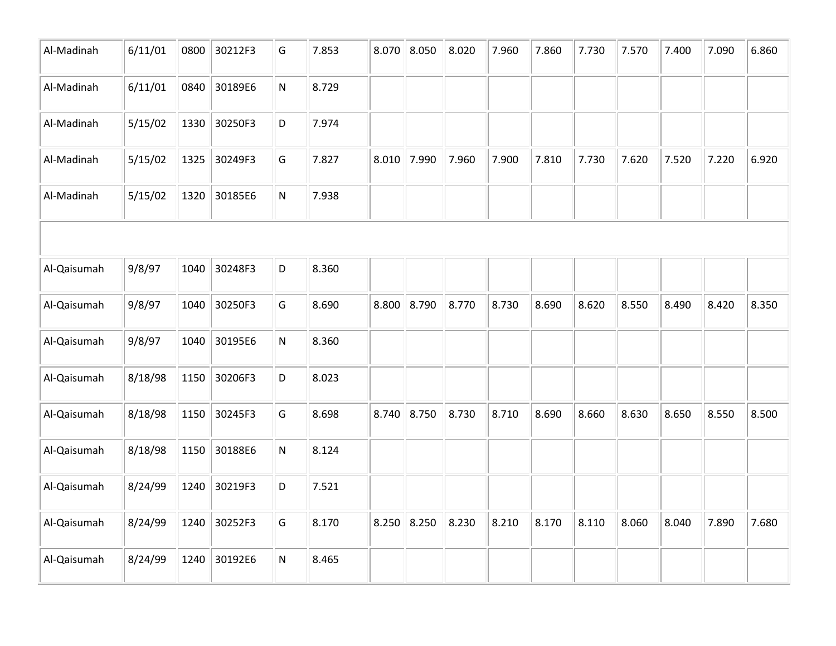| Al-Madinah  | 6/11/01 | 0800 | 30212F3 | G         | 7.853 | 8.070 | 8.050 | 8.020 | 7.960 | 7.860 | 7.730 | 7.570 | 7.400 | 7.090 | 6.860 |
|-------------|---------|------|---------|-----------|-------|-------|-------|-------|-------|-------|-------|-------|-------|-------|-------|
| Al-Madinah  | 6/11/01 | 0840 | 30189E6 | ${\sf N}$ | 8.729 |       |       |       |       |       |       |       |       |       |       |
| Al-Madinah  | 5/15/02 | 1330 | 30250F3 | D         | 7.974 |       |       |       |       |       |       |       |       |       |       |
| Al-Madinah  | 5/15/02 | 1325 | 30249F3 | G         | 7.827 | 8.010 | 7.990 | 7.960 | 7.900 | 7.810 | 7.730 | 7.620 | 7.520 | 7.220 | 6.920 |
| Al-Madinah  | 5/15/02 | 1320 | 30185E6 | N         | 7.938 |       |       |       |       |       |       |       |       |       |       |
|             |         |      |         |           |       |       |       |       |       |       |       |       |       |       |       |
| Al-Qaisumah | 9/8/97  | 1040 | 30248F3 | D         | 8.360 |       |       |       |       |       |       |       |       |       |       |
| Al-Qaisumah | 9/8/97  | 1040 | 30250F3 | G         | 8.690 | 8.800 | 8.790 | 8.770 | 8.730 | 8.690 | 8.620 | 8.550 | 8.490 | 8.420 | 8.350 |
| Al-Qaisumah | 9/8/97  | 1040 | 30195E6 | ${\sf N}$ | 8.360 |       |       |       |       |       |       |       |       |       |       |
| Al-Qaisumah | 8/18/98 | 1150 | 30206F3 | D         | 8.023 |       |       |       |       |       |       |       |       |       |       |
| Al-Qaisumah | 8/18/98 | 1150 | 30245F3 | G         | 8.698 | 8.740 | 8.750 | 8.730 | 8.710 | 8.690 | 8.660 | 8.630 | 8.650 | 8.550 | 8.500 |
| Al-Qaisumah | 8/18/98 | 1150 | 30188E6 | ${\sf N}$ | 8.124 |       |       |       |       |       |       |       |       |       |       |
| Al-Qaisumah | 8/24/99 | 1240 | 30219F3 | D         | 7.521 |       |       |       |       |       |       |       |       |       |       |
| Al-Qaisumah | 8/24/99 | 1240 | 30252F3 | G         | 8.170 | 8.250 | 8.250 | 8.230 | 8.210 | 8.170 | 8.110 | 8.060 | 8.040 | 7.890 | 7.680 |
| Al-Qaisumah | 8/24/99 | 1240 | 30192E6 | N         | 8.465 |       |       |       |       |       |       |       |       |       |       |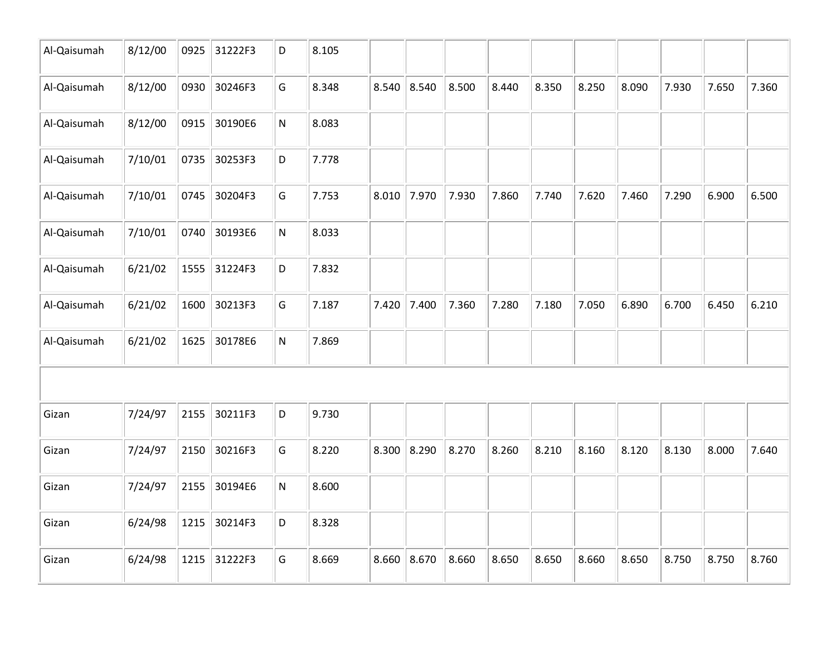| Al-Qaisumah | 8/12/00 | 0925 | 31222F3 | D         | 8.105 |       |       |       |       |       |       |       |       |       |       |
|-------------|---------|------|---------|-----------|-------|-------|-------|-------|-------|-------|-------|-------|-------|-------|-------|
| Al-Qaisumah | 8/12/00 | 0930 | 30246F3 | G         | 8.348 | 8.540 | 8.540 | 8.500 | 8.440 | 8.350 | 8.250 | 8.090 | 7.930 | 7.650 | 7.360 |
| Al-Qaisumah | 8/12/00 | 0915 | 30190E6 | ${\sf N}$ | 8.083 |       |       |       |       |       |       |       |       |       |       |
| Al-Qaisumah | 7/10/01 | 0735 | 30253F3 | D         | 7.778 |       |       |       |       |       |       |       |       |       |       |
| Al-Qaisumah | 7/10/01 | 0745 | 30204F3 | G         | 7.753 | 8.010 | 7.970 | 7.930 | 7.860 | 7.740 | 7.620 | 7.460 | 7.290 | 6.900 | 6.500 |
| Al-Qaisumah | 7/10/01 | 0740 | 30193E6 | N         | 8.033 |       |       |       |       |       |       |       |       |       |       |
| Al-Qaisumah | 6/21/02 | 1555 | 31224F3 | D         | 7.832 |       |       |       |       |       |       |       |       |       |       |
| Al-Qaisumah | 6/21/02 | 1600 | 30213F3 | G         | 7.187 | 7.420 | 7.400 | 7.360 | 7.280 | 7.180 | 7.050 | 6.890 | 6.700 | 6.450 | 6.210 |
| Al-Qaisumah | 6/21/02 | 1625 | 30178E6 | ${\sf N}$ | 7.869 |       |       |       |       |       |       |       |       |       |       |
|             |         |      |         |           |       |       |       |       |       |       |       |       |       |       |       |
| Gizan       | 7/24/97 | 2155 | 30211F3 | D         | 9.730 |       |       |       |       |       |       |       |       |       |       |
| Gizan       | 7/24/97 | 2150 | 30216F3 | G         | 8.220 | 8.300 | 8.290 | 8.270 | 8.260 | 8.210 | 8.160 | 8.120 | 8.130 | 8.000 | 7.640 |
| Gizan       | 7/24/97 | 2155 | 30194E6 | ${\sf N}$ | 8.600 |       |       |       |       |       |       |       |       |       |       |
| Gizan       | 6/24/98 | 1215 | 30214F3 | D         | 8.328 |       |       |       |       |       |       |       |       |       |       |
| Gizan       | 6/24/98 | 1215 | 31222F3 | G         | 8.669 | 8.660 | 8.670 | 8.660 | 8.650 | 8.650 | 8.660 | 8.650 | 8.750 | 8.750 | 8.760 |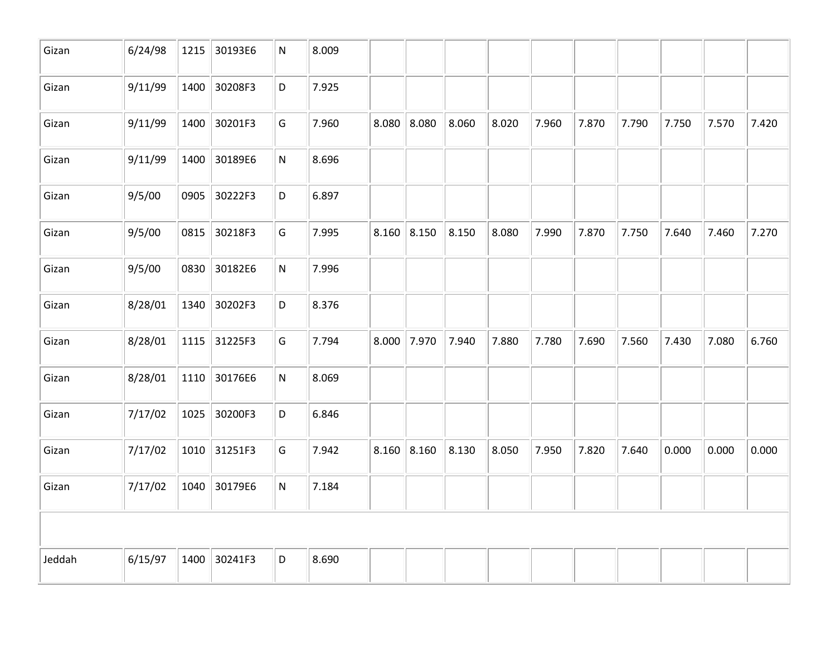| Gizan  | 6/24/98 | 1215 | 30193E6      | N         | 8.009 |               |       |       |       |       |       |       |       |       |       |
|--------|---------|------|--------------|-----------|-------|---------------|-------|-------|-------|-------|-------|-------|-------|-------|-------|
| Gizan  | 9/11/99 |      | 1400 30208F3 | D         | 7.925 |               |       |       |       |       |       |       |       |       |       |
| Gizan  | 9/11/99 | 1400 | 30201F3      | G         | 7.960 | 8.080         | 8.080 | 8.060 | 8.020 | 7.960 | 7.870 | 7.790 | 7.750 | 7.570 | 7.420 |
| Gizan  | 9/11/99 |      | 1400 30189E6 | N         | 8.696 |               |       |       |       |       |       |       |       |       |       |
| Gizan  | 9/5/00  | 0905 | 30222F3      | D         | 6.897 |               |       |       |       |       |       |       |       |       |       |
| Gizan  | 9/5/00  |      | 0815 30218F3 | G         | 7.995 | $8.160$ 8.150 |       | 8.150 | 8.080 | 7.990 | 7.870 | 7.750 | 7.640 | 7.460 | 7.270 |
| Gizan  | 9/5/00  |      | 0830 30182E6 | N         | 7.996 |               |       |       |       |       |       |       |       |       |       |
| Gizan  | 8/28/01 |      | 1340 30202F3 | D         | 8.376 |               |       |       |       |       |       |       |       |       |       |
| Gizan  | 8/28/01 |      | 1115 31225F3 | G         | 7.794 | $8.000$ 7.970 |       | 7.940 | 7.880 | 7.780 | 7.690 | 7.560 | 7.430 | 7.080 | 6.760 |
| Gizan  | 8/28/01 |      | 1110 30176E6 | N         | 8.069 |               |       |       |       |       |       |       |       |       |       |
| Gizan  | 7/17/02 | 1025 | 30200F3      | D         | 6.846 |               |       |       |       |       |       |       |       |       |       |
| Gizan  | 7/17/02 |      | 1010 31251F3 | G         | 7.942 | $8.160$ 8.160 |       | 8.130 | 8.050 | 7.950 | 7.820 | 7.640 | 0.000 | 0.000 | 0.000 |
| Gizan  | 7/17/02 |      | 1040 30179E6 | ${\sf N}$ | 7.184 |               |       |       |       |       |       |       |       |       |       |
|        |         |      |              |           |       |               |       |       |       |       |       |       |       |       |       |
| Jeddah | 6/15/97 | 1400 | 30241F3      | D         | 8.690 |               |       |       |       |       |       |       |       |       |       |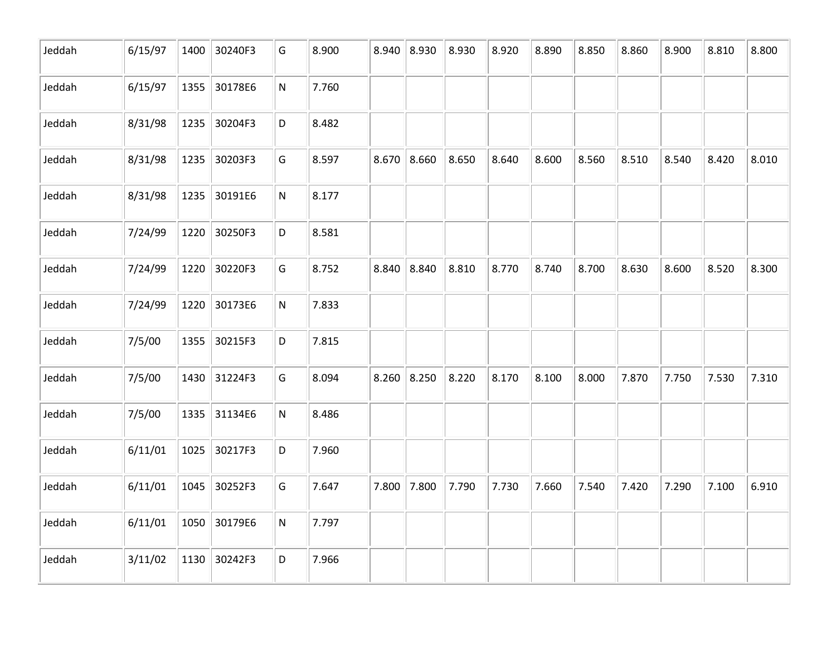| Jeddah | 6/15/97 | 1400 | 30240F3      | G         | 8.900 | 8.940 | 8.930 | 8.930 | 8.920 | 8.890 | 8.850 | 8.860 | 8.900 | 8.810 | 8.800 |
|--------|---------|------|--------------|-----------|-------|-------|-------|-------|-------|-------|-------|-------|-------|-------|-------|
| Jeddah | 6/15/97 | 1355 | 30178E6      | ${\sf N}$ | 7.760 |       |       |       |       |       |       |       |       |       |       |
| Jeddah | 8/31/98 | 1235 | 30204F3      | D         | 8.482 |       |       |       |       |       |       |       |       |       |       |
| Jeddah | 8/31/98 | 1235 | 30203F3      | G         | 8.597 | 8.670 | 8.660 | 8.650 | 8.640 | 8.600 | 8.560 | 8.510 | 8.540 | 8.420 | 8.010 |
| Jeddah | 8/31/98 | 1235 | 30191E6      | ${\sf N}$ | 8.177 |       |       |       |       |       |       |       |       |       |       |
| Jeddah | 7/24/99 |      | 1220 30250F3 | D         | 8.581 |       |       |       |       |       |       |       |       |       |       |
| Jeddah | 7/24/99 | 1220 | 30220F3      | G         | 8.752 | 8.840 | 8.840 | 8.810 | 8.770 | 8.740 | 8.700 | 8.630 | 8.600 | 8.520 | 8.300 |
| Jeddah | 7/24/99 | 1220 | 30173E6      | ${\sf N}$ | 7.833 |       |       |       |       |       |       |       |       |       |       |
| Jeddah | 7/5/00  | 1355 | 30215F3      | D         | 7.815 |       |       |       |       |       |       |       |       |       |       |
| Jeddah | 7/5/00  |      | 1430 31224F3 | G         | 8.094 | 8.260 | 8.250 | 8.220 | 8.170 | 8.100 | 8.000 | 7.870 | 7.750 | 7.530 | 7.310 |
| Jeddah | 7/5/00  |      | 1335 31134E6 | ${\sf N}$ | 8.486 |       |       |       |       |       |       |       |       |       |       |
| Jeddah | 6/11/01 | 1025 | 30217F3      | D         | 7.960 |       |       |       |       |       |       |       |       |       |       |
| Jeddah | 6/11/01 | 1045 | 30252F3      | G         | 7.647 | 7.800 | 7.800 | 7.790 | 7.730 | 7.660 | 7.540 | 7.420 | 7.290 | 7.100 | 6.910 |
| Jeddah | 6/11/01 | 1050 | 30179E6      | ${\sf N}$ | 7.797 |       |       |       |       |       |       |       |       |       |       |
| Jeddah | 3/11/02 | 1130 | 30242F3      | D         | 7.966 |       |       |       |       |       |       |       |       |       |       |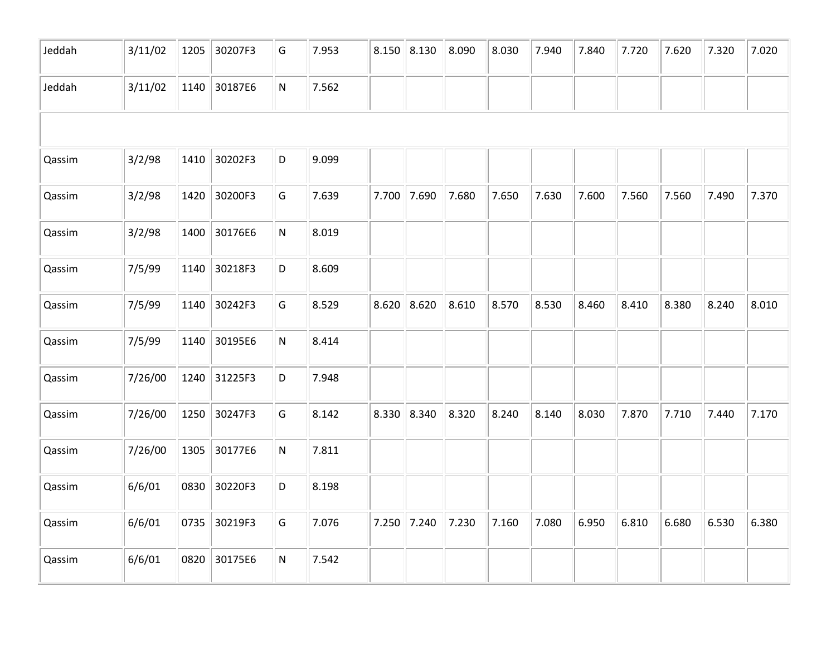| Jeddah | 3/11/02 | 1205 | 30207F3 | G         | 7.953 |       | $8.150$ 8.130 | 8.090 | 8.030 | 7.940 | 7.840 | 7.720 | 7.620 | 7.320 | 7.020 |
|--------|---------|------|---------|-----------|-------|-------|---------------|-------|-------|-------|-------|-------|-------|-------|-------|
| Jeddah | 3/11/02 | 1140 | 30187E6 | ${\sf N}$ | 7.562 |       |               |       |       |       |       |       |       |       |       |
|        |         |      |         |           |       |       |               |       |       |       |       |       |       |       |       |
| Qassim | 3/2/98  | 1410 | 30202F3 | D         | 9.099 |       |               |       |       |       |       |       |       |       |       |
| Qassim | 3/2/98  | 1420 | 30200F3 | G         | 7.639 | 7.700 | 7.690         | 7.680 | 7.650 | 7.630 | 7.600 | 7.560 | 7.560 | 7.490 | 7.370 |
| Qassim | 3/2/98  | 1400 | 30176E6 | N         | 8.019 |       |               |       |       |       |       |       |       |       |       |
| Qassim | 7/5/99  | 1140 | 30218F3 | D         | 8.609 |       |               |       |       |       |       |       |       |       |       |
| Qassim | 7/5/99  | 1140 | 30242F3 | G         | 8.529 | 8.620 | 8.620         | 8.610 | 8.570 | 8.530 | 8.460 | 8.410 | 8.380 | 8.240 | 8.010 |
| Qassim | 7/5/99  | 1140 | 30195E6 | N         | 8.414 |       |               |       |       |       |       |       |       |       |       |
| Qassim | 7/26/00 | 1240 | 31225F3 | D         | 7.948 |       |               |       |       |       |       |       |       |       |       |
| Qassim | 7/26/00 | 1250 | 30247F3 | G         | 8.142 | 8.330 | 8.340         | 8.320 | 8.240 | 8.140 | 8.030 | 7.870 | 7.710 | 7.440 | 7.170 |
| Qassim | 7/26/00 | 1305 | 30177E6 | ${\sf N}$ | 7.811 |       |               |       |       |       |       |       |       |       |       |
| Qassim | 6/6/01  | 0830 | 30220F3 | D         | 8.198 |       |               |       |       |       |       |       |       |       |       |
| Qassim | 6/6/01  | 0735 | 30219F3 | G         | 7.076 | 7.250 | 7.240         | 7.230 | 7.160 | 7.080 | 6.950 | 6.810 | 6.680 | 6.530 | 6.380 |
| Qassim | 6/6/01  | 0820 | 30175E6 | ${\sf N}$ | 7.542 |       |               |       |       |       |       |       |       |       |       |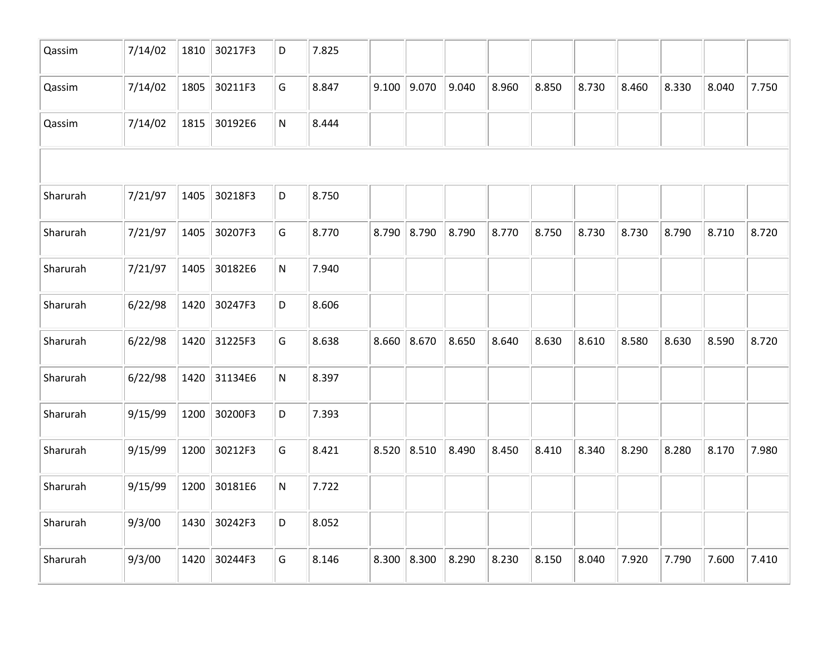| Qassim   | 7/14/02 | 1810 | 30217F3 | D | 7.825 |               |       |       |       |       |       |       |       |       |
|----------|---------|------|---------|---|-------|---------------|-------|-------|-------|-------|-------|-------|-------|-------|
| Qassim   | 7/14/02 | 1805 | 30211F3 | G | 8.847 | $9.100$ 9.070 | 9.040 | 8.960 | 8.850 | 8.730 | 8.460 | 8.330 | 8.040 | 7.750 |
| Qassim   | 7/14/02 | 1815 | 30192E6 | N | 8.444 |               |       |       |       |       |       |       |       |       |
|          |         |      |         |   |       |               |       |       |       |       |       |       |       |       |
| Sharurah | 7/21/97 | 1405 | 30218F3 | D | 8.750 |               |       |       |       |       |       |       |       |       |
| Sharurah | 7/21/97 | 1405 | 30207F3 | G | 8.770 | 8.790 8.790   | 8.790 | 8.770 | 8.750 | 8.730 | 8.730 | 8.790 | 8.710 | 8.720 |
| Sharurah | 7/21/97 | 1405 | 30182E6 | N | 7.940 |               |       |       |       |       |       |       |       |       |
| Sharurah | 6/22/98 | 1420 | 30247F3 | D | 8.606 |               |       |       |       |       |       |       |       |       |
| Sharurah | 6/22/98 | 1420 | 31225F3 | G | 8.638 | $8.660$ 8.670 | 8.650 | 8.640 | 8.630 | 8.610 | 8.580 | 8.630 | 8.590 | 8.720 |
| Sharurah | 6/22/98 | 1420 | 31134E6 | N | 8.397 |               |       |       |       |       |       |       |       |       |
| Sharurah | 9/15/99 | 1200 | 30200F3 | D | 7.393 |               |       |       |       |       |       |       |       |       |
| Sharurah | 9/15/99 | 1200 | 30212F3 | G | 8.421 | $8.520$ 8.510 | 8.490 | 8.450 | 8.410 | 8.340 | 8.290 | 8.280 | 8.170 | 7.980 |
| Sharurah | 9/15/99 | 1200 | 30181E6 | N | 7.722 |               |       |       |       |       |       |       |       |       |
| Sharurah | 9/3/00  | 1430 | 30242F3 | D | 8.052 |               |       |       |       |       |       |       |       |       |
| Sharurah | 9/3/00  | 1420 | 30244F3 | G | 8.146 | $8.300$ 8.300 | 8.290 | 8.230 | 8.150 | 8.040 | 7.920 | 7.790 | 7.600 | 7.410 |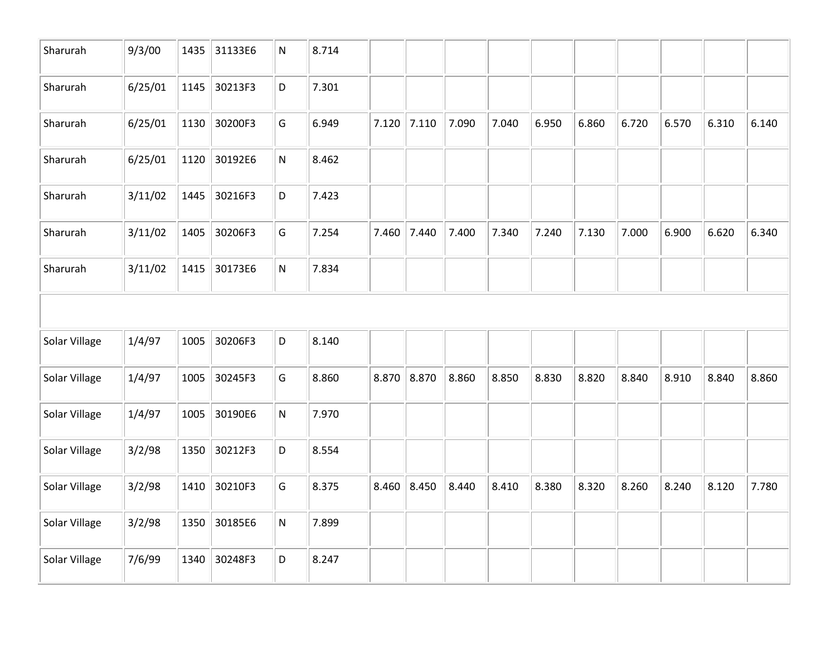| Sharurah      | 9/3/00  | 1435 | 31133E6 | N         | 8.714 |       |               |       |       |       |       |       |       |       |       |
|---------------|---------|------|---------|-----------|-------|-------|---------------|-------|-------|-------|-------|-------|-------|-------|-------|
| Sharurah      | 6/25/01 | 1145 | 30213F3 | D         | 7.301 |       |               |       |       |       |       |       |       |       |       |
| Sharurah      | 6/25/01 | 1130 | 30200F3 | G         | 6.949 | 7.120 | 7.110         | 7.090 | 7.040 | 6.950 | 6.860 | 6.720 | 6.570 | 6.310 | 6.140 |
| Sharurah      | 6/25/01 | 1120 | 30192E6 | N         | 8.462 |       |               |       |       |       |       |       |       |       |       |
| Sharurah      | 3/11/02 | 1445 | 30216F3 | D         | 7.423 |       |               |       |       |       |       |       |       |       |       |
| Sharurah      | 3/11/02 | 1405 | 30206F3 | G         | 7.254 | 7.460 | 7.440         | 7.400 | 7.340 | 7.240 | 7.130 | 7.000 | 6.900 | 6.620 | 6.340 |
| Sharurah      | 3/11/02 | 1415 | 30173E6 | N         | 7.834 |       |               |       |       |       |       |       |       |       |       |
|               |         |      |         |           |       |       |               |       |       |       |       |       |       |       |       |
| Solar Village | 1/4/97  | 1005 | 30206F3 | D         | 8.140 |       |               |       |       |       |       |       |       |       |       |
| Solar Village | 1/4/97  | 1005 | 30245F3 | G         | 8.860 |       | 8.870 8.870   | 8.860 | 8.850 | 8.830 | 8.820 | 8.840 | 8.910 | 8.840 | 8.860 |
| Solar Village | 1/4/97  | 1005 | 30190E6 | N         | 7.970 |       |               |       |       |       |       |       |       |       |       |
| Solar Village | 3/2/98  | 1350 | 30212F3 | D         | 8.554 |       |               |       |       |       |       |       |       |       |       |
| Solar Village | 3/2/98  | 1410 | 30210F3 | G         | 8.375 |       | $8.460$ 8.450 | 8.440 | 8.410 | 8.380 | 8.320 | 8.260 | 8.240 | 8.120 | 7.780 |
| Solar Village | 3/2/98  | 1350 | 30185E6 | ${\sf N}$ | 7.899 |       |               |       |       |       |       |       |       |       |       |
| Solar Village | 7/6/99  | 1340 | 30248F3 | D         | 8.247 |       |               |       |       |       |       |       |       |       |       |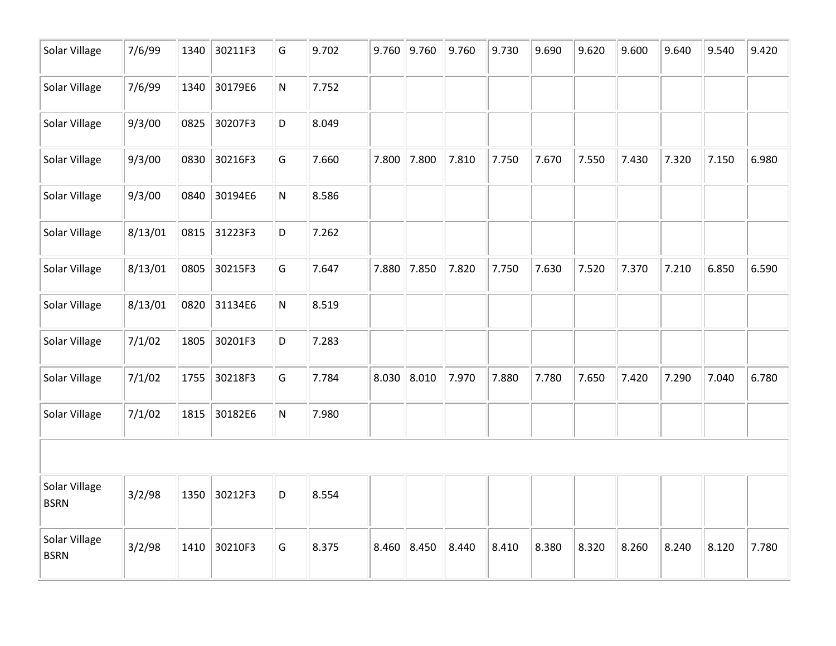| Solar Village                | 7/6/99  | 1340 | 30211F3 | G | 9.702 | 9.760 | 9.760 | 9.760 | 9.730 | 9.690 | 9.620 | 9.600 | 9.640 | 9.540 | 9.420 |
|------------------------------|---------|------|---------|---|-------|-------|-------|-------|-------|-------|-------|-------|-------|-------|-------|
| Solar Village                | 7/6/99  | 1340 | 30179E6 | N | 7.752 |       |       |       |       |       |       |       |       |       |       |
| Solar Village                | 9/3/00  | 0825 | 30207F3 | D | 8.049 |       |       |       |       |       |       |       |       |       |       |
| Solar Village                | 9/3/00  | 0830 | 30216F3 | G | 7.660 | 7.800 | 7.800 | 7.810 | 7.750 | 7.670 | 7.550 | 7.430 | 7.320 | 7.150 | 6.980 |
| Solar Village                | 9/3/00  | 0840 | 30194E6 | N | 8.586 |       |       |       |       |       |       |       |       |       |       |
| Solar Village                | 8/13/01 | 0815 | 31223F3 | D | 7.262 |       |       |       |       |       |       |       |       |       |       |
| Solar Village                | 8/13/01 | 0805 | 30215F3 | G | 7.647 | 7.880 | 7.850 | 7.820 | 7.750 | 7.630 | 7.520 | 7.370 | 7.210 | 6.850 | 6.590 |
| Solar Village                | 8/13/01 | 0820 | 31134E6 | N | 8.519 |       |       |       |       |       |       |       |       |       |       |
| Solar Village                | 7/1/02  | 1805 | 30201F3 | D | 7.283 |       |       |       |       |       |       |       |       |       |       |
| Solar Village                | 7/1/02  | 1755 | 30218F3 | G | 7.784 | 8.030 | 8.010 | 7.970 | 7.880 | 7.780 | 7.650 | 7.420 | 7.290 | 7.040 | 6.780 |
| Solar Village                | 7/1/02  | 1815 | 30182E6 | N | 7.980 |       |       |       |       |       |       |       |       |       |       |
|                              |         |      |         |   |       |       |       |       |       |       |       |       |       |       |       |
| Solar Village<br><b>BSRN</b> | 3/2/98  | 1350 | 30212F3 | D | 8.554 |       |       |       |       |       |       |       |       |       |       |
| Solar Village<br><b>BSRN</b> | 3/2/98  | 1410 | 30210F3 | G | 8.375 | 8.460 | 8.450 | 8.440 | 8.410 | 8.380 | 8.320 | 8.260 | 8.240 | 8.120 | 7.780 |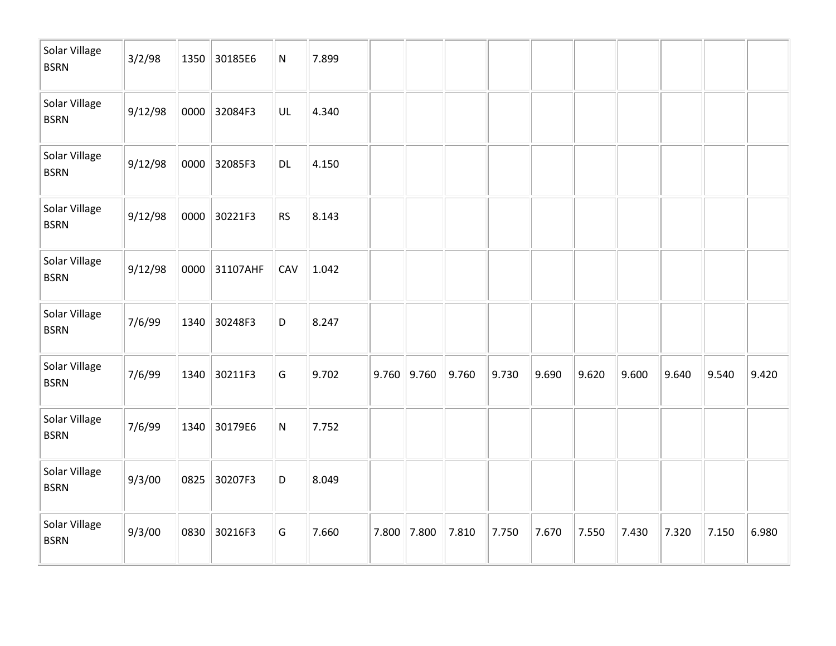| Solar Village<br><b>BSRN</b> | 3/2/98  | 1350 | 30185E6  | N         | 7.899 |       |       |       |       |       |       |       |       |       |       |
|------------------------------|---------|------|----------|-----------|-------|-------|-------|-------|-------|-------|-------|-------|-------|-------|-------|
| Solar Village<br><b>BSRN</b> | 9/12/98 | 0000 | 32084F3  | UL        | 4.340 |       |       |       |       |       |       |       |       |       |       |
| Solar Village<br><b>BSRN</b> | 9/12/98 | 0000 | 32085F3  | DL        | 4.150 |       |       |       |       |       |       |       |       |       |       |
| Solar Village<br><b>BSRN</b> | 9/12/98 | 0000 | 30221F3  | <b>RS</b> | 8.143 |       |       |       |       |       |       |       |       |       |       |
| Solar Village<br><b>BSRN</b> | 9/12/98 | 0000 | 31107AHF | CAV       | 1.042 |       |       |       |       |       |       |       |       |       |       |
| Solar Village<br><b>BSRN</b> | 7/6/99  | 1340 | 30248F3  | D         | 8.247 |       |       |       |       |       |       |       |       |       |       |
| Solar Village<br><b>BSRN</b> | 7/6/99  | 1340 | 30211F3  | G         | 9.702 | 9.760 | 9.760 | 9.760 | 9.730 | 9.690 | 9.620 | 9.600 | 9.640 | 9.540 | 9.420 |
| Solar Village<br><b>BSRN</b> | 7/6/99  | 1340 | 30179E6  | ${\sf N}$ | 7.752 |       |       |       |       |       |       |       |       |       |       |
| Solar Village<br><b>BSRN</b> | 9/3/00  | 0825 | 30207F3  | D         | 8.049 |       |       |       |       |       |       |       |       |       |       |
| Solar Village<br><b>BSRN</b> | 9/3/00  | 0830 | 30216F3  | G         | 7.660 | 7.800 | 7.800 | 7.810 | 7.750 | 7.670 | 7.550 | 7.430 | 7.320 | 7.150 | 6.980 |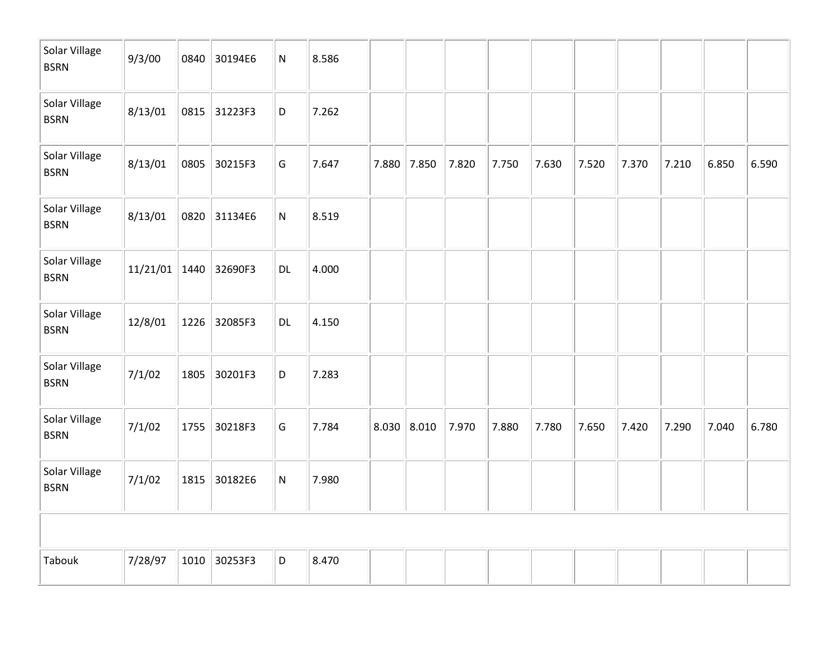| Solar Village<br><b>BSRN</b> | 9/3/00   | 0840 | 30194E6 | ${\sf N}$     | 8.586 |       |               |       |       |       |       |       |       |       |       |
|------------------------------|----------|------|---------|---------------|-------|-------|---------------|-------|-------|-------|-------|-------|-------|-------|-------|
| Solar Village<br><b>BSRN</b> | 8/13/01  | 0815 | 31223F3 | D             | 7.262 |       |               |       |       |       |       |       |       |       |       |
| Solar Village<br><b>BSRN</b> | 8/13/01  | 0805 | 30215F3 | G             | 7.647 | 7.880 | $\vert$ 7.850 | 7.820 | 7.750 | 7.630 | 7.520 | 7.370 | 7.210 | 6.850 | 6.590 |
| Solar Village<br><b>BSRN</b> | 8/13/01  | 0820 | 31134E6 | ${\sf N}$     | 8.519 |       |               |       |       |       |       |       |       |       |       |
| Solar Village<br><b>BSRN</b> | 11/21/01 | 1440 | 32690F3 | $\mathsf{DL}$ | 4.000 |       |               |       |       |       |       |       |       |       |       |
| Solar Village<br><b>BSRN</b> | 12/8/01  | 1226 | 32085F3 | DL            | 4.150 |       |               |       |       |       |       |       |       |       |       |
| Solar Village<br><b>BSRN</b> | 7/1/02   | 1805 | 30201F3 | D             | 7.283 |       |               |       |       |       |       |       |       |       |       |
| Solar Village<br><b>BSRN</b> | 7/1/02   | 1755 | 30218F3 | G             | 7.784 | 8.030 | 8.010         | 7.970 | 7.880 | 7.780 | 7.650 | 7.420 | 7.290 | 7.040 | 6.780 |
| Solar Village<br><b>BSRN</b> | 7/1/02   | 1815 | 30182E6 | ${\sf N}$     | 7.980 |       |               |       |       |       |       |       |       |       |       |
|                              |          |      |         |               |       |       |               |       |       |       |       |       |       |       |       |
| Tabouk                       | 7/28/97  | 1010 | 30253F3 | D             | 8.470 |       |               |       |       |       |       |       |       |       |       |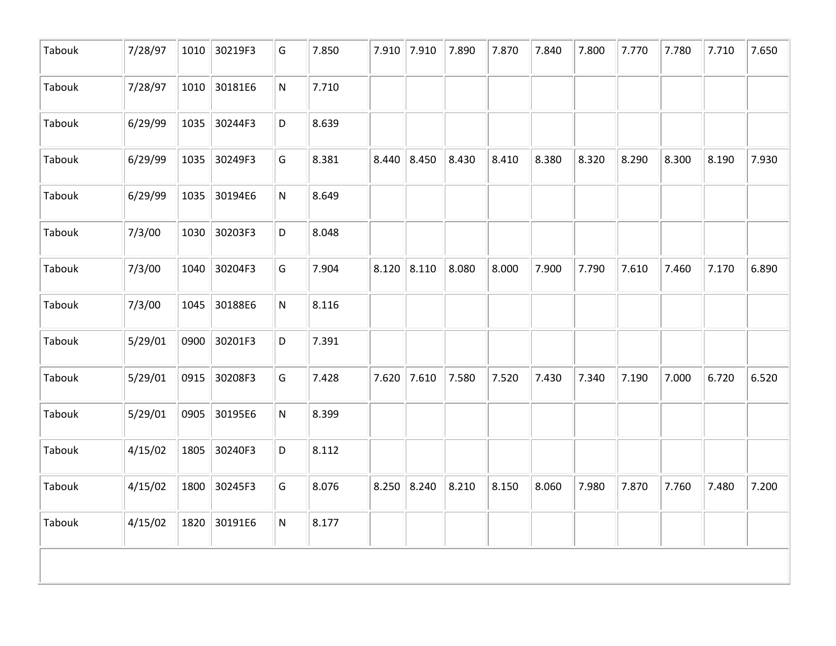| Tabouk<br>7/28/97<br>1010 30181E6<br>N<br>6/29/99<br>Tabouk<br>1035<br>30244F3<br>D<br>Tabouk<br>6/29/99<br>30249F3<br>1035<br>G<br>6/29/99<br>30194E6<br>${\sf N}$<br>Tabouk<br>1035<br>Tabouk<br>7/3/00<br>30203F3<br>1030<br>D<br>7/3/00<br>30204F3<br>G<br>Tabouk<br>1040<br>Tabouk<br>7/3/00<br>30188E6<br>1045<br>N<br>Tabouk<br>5/29/01<br>30201F3<br>0900<br>D<br>5/29/01<br>Tabouk<br>0915<br>30208F3<br>G<br>Tabouk<br>5/29/01<br>0905<br>30195E6<br>N<br>Tabouk<br>30240F3<br>4/15/02<br>1805<br>D<br>Tabouk<br>4/15/02<br>30245F3<br>1800<br>G | 7.710<br>8.639<br>8.381 |               |       |       |       |       |       |       |       |       |       |
|------------------------------------------------------------------------------------------------------------------------------------------------------------------------------------------------------------------------------------------------------------------------------------------------------------------------------------------------------------------------------------------------------------------------------------------------------------------------------------------------------------------------------------------------------------|-------------------------|---------------|-------|-------|-------|-------|-------|-------|-------|-------|-------|
|                                                                                                                                                                                                                                                                                                                                                                                                                                                                                                                                                            |                         |               |       |       |       |       |       |       |       |       |       |
|                                                                                                                                                                                                                                                                                                                                                                                                                                                                                                                                                            |                         |               |       |       |       |       |       |       |       |       |       |
|                                                                                                                                                                                                                                                                                                                                                                                                                                                                                                                                                            |                         | 8.440         | 8.450 | 8.430 | 8.410 | 8.380 | 8.320 | 8.290 | 8.300 | 8.190 | 7.930 |
|                                                                                                                                                                                                                                                                                                                                                                                                                                                                                                                                                            | 8.649                   |               |       |       |       |       |       |       |       |       |       |
|                                                                                                                                                                                                                                                                                                                                                                                                                                                                                                                                                            | 8.048                   |               |       |       |       |       |       |       |       |       |       |
|                                                                                                                                                                                                                                                                                                                                                                                                                                                                                                                                                            | 7.904                   | $8.120$ 8.110 |       | 8.080 | 8.000 | 7.900 | 7.790 | 7.610 | 7.460 | 7.170 | 6.890 |
|                                                                                                                                                                                                                                                                                                                                                                                                                                                                                                                                                            | 8.116                   |               |       |       |       |       |       |       |       |       |       |
|                                                                                                                                                                                                                                                                                                                                                                                                                                                                                                                                                            | 7.391                   |               |       |       |       |       |       |       |       |       |       |
|                                                                                                                                                                                                                                                                                                                                                                                                                                                                                                                                                            | 7.428                   | $7.620$ 7.610 |       | 7.580 | 7.520 | 7.430 | 7.340 | 7.190 | 7.000 | 6.720 | 6.520 |
|                                                                                                                                                                                                                                                                                                                                                                                                                                                                                                                                                            | 8.399                   |               |       |       |       |       |       |       |       |       |       |
|                                                                                                                                                                                                                                                                                                                                                                                                                                                                                                                                                            | 8.112                   |               |       |       |       |       |       |       |       |       |       |
|                                                                                                                                                                                                                                                                                                                                                                                                                                                                                                                                                            | 8.076                   | 8.250         | 8.240 | 8.210 | 8.150 | 8.060 | 7.980 | 7.870 | 7.760 | 7.480 | 7.200 |
| Tabouk<br>4/15/02<br>1820 30191E6<br>N                                                                                                                                                                                                                                                                                                                                                                                                                                                                                                                     | 8.177                   |               |       |       |       |       |       |       |       |       |       |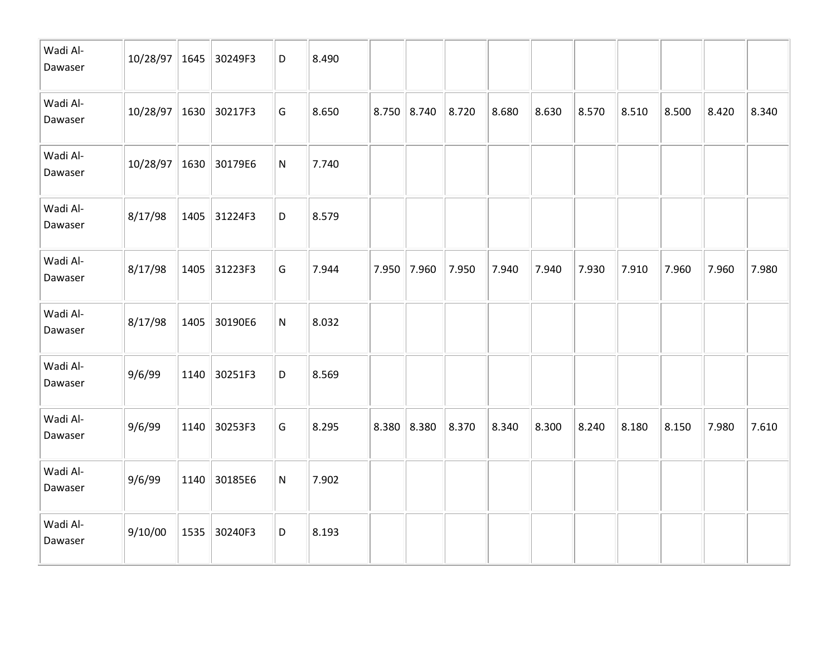| Wadi Al-<br>Dawaser | 10/28/97 1645 30249F3 |      |              | D         | 8.490 |               |       |       |       |       |       |       |       |       |
|---------------------|-----------------------|------|--------------|-----------|-------|---------------|-------|-------|-------|-------|-------|-------|-------|-------|
| Wadi Al-<br>Dawaser | 10/28/97 1630         |      | 30217F3      | G         | 8.650 | $8.750$ 8.740 | 8.720 | 8.680 | 8.630 | 8.570 | 8.510 | 8.500 | 8.420 | 8.340 |
| Wadi Al-<br>Dawaser | $10/28/97$ 1630       |      | 30179E6      | ${\sf N}$ | 7.740 |               |       |       |       |       |       |       |       |       |
| Wadi Al-<br>Dawaser | 8/17/98               | 1405 | 31224F3      | D         | 8.579 |               |       |       |       |       |       |       |       |       |
| Wadi Al-<br>Dawaser | 8/17/98               |      | 1405 31223F3 | G         | 7.944 | 7.950 7.960   | 7.950 | 7.940 | 7.940 | 7.930 | 7.910 | 7.960 | 7.960 | 7.980 |
| Wadi Al-<br>Dawaser | 8/17/98               | 1405 | 30190E6      | ${\sf N}$ | 8.032 |               |       |       |       |       |       |       |       |       |
| Wadi Al-<br>Dawaser | 9/6/99                | 1140 | 30251F3      | D         | 8.569 |               |       |       |       |       |       |       |       |       |
| Wadi Al-<br>Dawaser | 9/6/99                | 1140 | 30253F3      | G         | 8.295 | 8.380   8.380 | 8.370 | 8.340 | 8.300 | 8.240 | 8.180 | 8.150 | 7.980 | 7.610 |
| Wadi Al-<br>Dawaser | 9/6/99                | 1140 | 30185E6      | ${\sf N}$ | 7.902 |               |       |       |       |       |       |       |       |       |
| Wadi Al-<br>Dawaser | 9/10/00               | 1535 | 30240F3      | D         | 8.193 |               |       |       |       |       |       |       |       |       |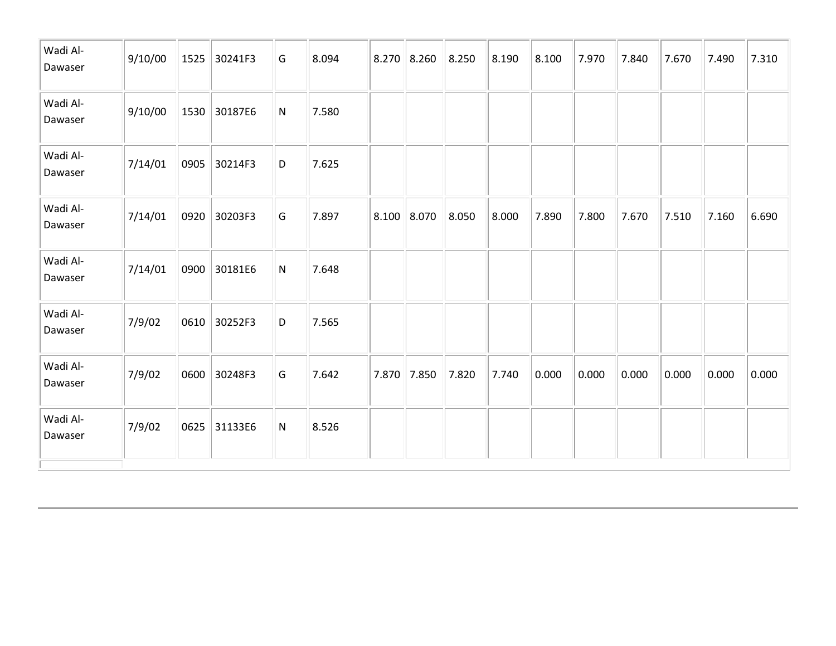| Wadi Al-<br>Dawaser | 9/10/00 | 1525 | 30241F3 | G         | 8.094 |               | $8.270$ 8.260 | 8.250 | 8.190 | 8.100 | 7.970 | 7.840 | 7.670 | 7.490 | 7.310 |
|---------------------|---------|------|---------|-----------|-------|---------------|---------------|-------|-------|-------|-------|-------|-------|-------|-------|
| Wadi Al-<br>Dawaser | 9/10/00 | 1530 | 30187E6 | ${\sf N}$ | 7.580 |               |               |       |       |       |       |       |       |       |       |
| Wadi Al-<br>Dawaser | 7/14/01 | 0905 | 30214F3 | D         | 7.625 |               |               |       |       |       |       |       |       |       |       |
| Wadi Al-<br>Dawaser | 7/14/01 | 0920 | 30203F3 | G         | 7.897 | $8.100$ 8.070 |               | 8.050 | 8.000 | 7.890 | 7.800 | 7.670 | 7.510 | 7.160 | 6.690 |
| Wadi Al-<br>Dawaser | 7/14/01 | 0900 | 30181E6 | ${\sf N}$ | 7.648 |               |               |       |       |       |       |       |       |       |       |
| Wadi Al-<br>Dawaser | 7/9/02  | 0610 | 30252F3 | D         | 7.565 |               |               |       |       |       |       |       |       |       |       |
| Wadi Al-<br>Dawaser | 7/9/02  | 0600 | 30248F3 | G         | 7.642 | 7.870         | 7.850         | 7.820 | 7.740 | 0.000 | 0.000 | 0.000 | 0.000 | 0.000 | 0.000 |
| Wadi Al-<br>Dawaser | 7/9/02  | 0625 | 31133E6 | ${\sf N}$ | 8.526 |               |               |       |       |       |       |       |       |       |       |